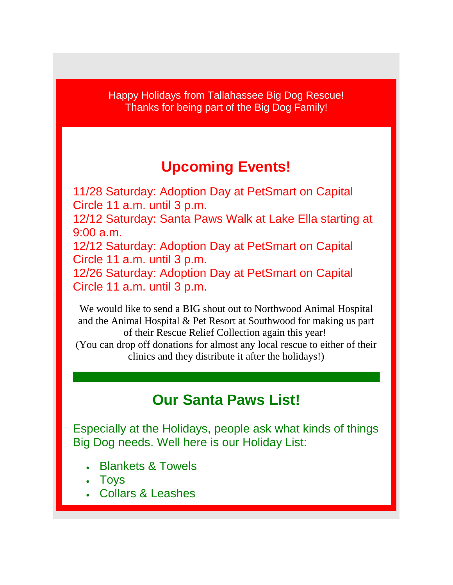Happy Holidays from Tallahassee Big Dog Rescue! Thanks for being part of the Big Dog Family!

## **Upcoming Events!**

11/28 Saturday: Adoption Day at PetSmart on Capital Circle 11 a.m. until 3 p.m. 12/12 Saturday: Santa Paws Walk at Lake Ella starting at 9:00 a.m. 12/12 Saturday: Adoption Day at PetSmart on Capital Circle 11 a.m. until 3 p.m. 12/26 Saturday: Adoption Day at PetSmart on Capital Circle 11 a.m. until 3 p.m.

We would like to send a BIG shout out to Northwood Animal Hospital and the Animal Hospital & Pet Resort at Southwood for making us part of their Rescue Relief Collection again this year! (You can drop off donations for almost any local rescue to either of their

clinics and they distribute it after the holidays!)

## **Our Santa Paws List!**

Especially at the Holidays, people ask what kinds of things Big Dog needs. Well here is our Holiday List:

- Blankets & Towels
- Toys
- Collars & Leashes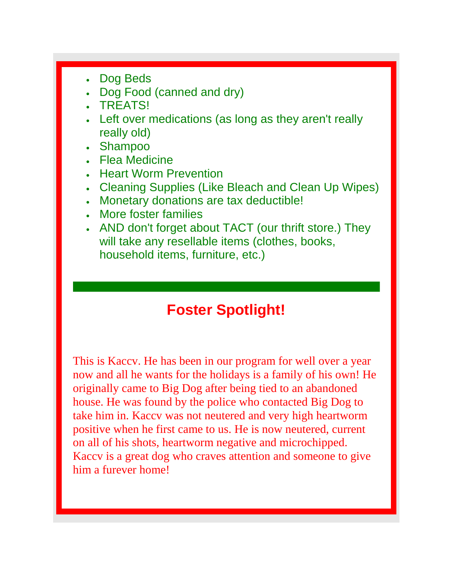- Dog Beds
- Dog Food (canned and dry)
- TREATS!
- Left over medications (as long as they aren't really really old)
- Shampoo
- Flea Medicine
- Heart Worm Prevention
- Cleaning Supplies (Like Bleach and Clean Up Wipes)
- Monetary donations are tax deductible!
- More foster families
- AND don't forget about TACT (our thrift store.) They will take any resellable items (clothes, books, household items, furniture, etc.)

## **Foster Spotlight!**

This is Kaccv. He has been in our program for well over a year now and all he wants for the holidays is a family of his own! He originally came to Big Dog after being tied to an abandoned house. He was found by the police who contacted Big Dog to take him in. Kaccv was not neutered and very high heartworm positive when he first came to us. He is now neutered, current on all of his shots, heartworm negative and microchipped. Kaccv is a great dog who craves attention and someone to give him a furever home!